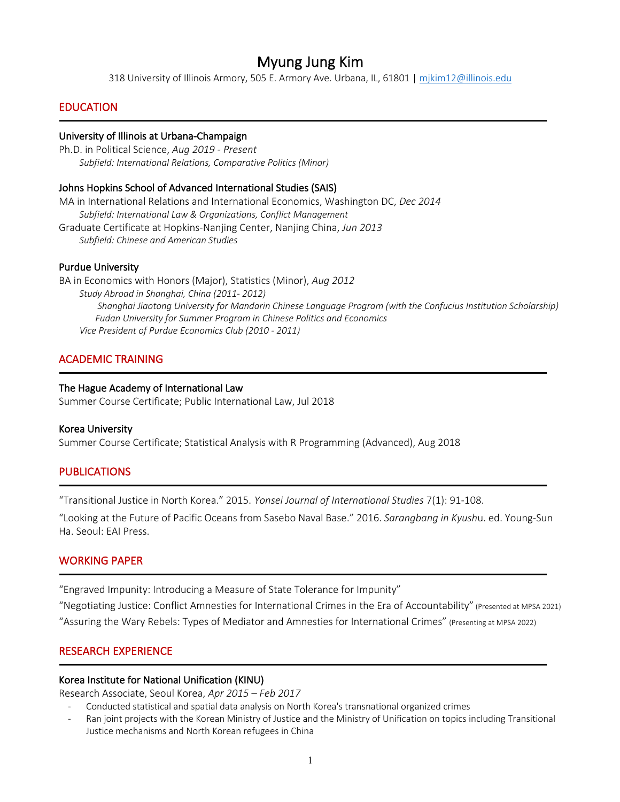Myung Jung Kim<br>318 University of Illinois Armory, 505 E. Armory Ave. Urbana, IL, 61801 | mjkim12@illinois.edu

## EDUCATION

1

#### University of Illinois at Urbana-Champaign

Ph.D. in Political Science, *Aug 2019 - Present Subfield: International Relations, Comparative Politics (Minor)*

#### Johns Hopkins School of Advanced International Studies (SAIS)

MA in International Relations and International Economics, Washington DC, *Dec 2014 Subfield: International Law & Organizations, Conflict Management* Graduate Certificate at Hopkins-Nanjing Center, Nanjing China, *Jun 2013 Subfield: Chinese and American Studies*

#### Purdue University

BA in Economics with Honors (Major), Statistics (Minor), *Aug 2012 Study Abroad in Shanghai, China (2011- 2012) Shanghai Jiaotong University for Mandarin Chinese Language Program (with the Confucius Institution Scholarship) Fudan University for Summer Program in Chinese Politics and Economics Vice President of Purdue Economics Club (2010 - 2011)*

## ACADEMIC TRAINING

#### The Hague Academy of International Law

Summer Course Certificate; Public International Law, Jul 2018

#### Korea University

j

j

1

i

Summer Course Certificate; Statistical Analysis with R Programming (Advanced), Aug 2018

#### PUBLICATIONS

"Transitional Justice in North Korea." 2015. *Yonsei Journal of International Studies* 7(1): 91-108.

"Looking at the Future of Pacific Oceans from Sasebo Naval Base." 2016. *Sarangbang in Kyush*u. ed. Young-Sun Ha. Seoul: EAI Press.

#### WORKING PAPER

"Engraved Impunity: Introducing a Measure of State Tolerance for Impunity"

"Negotiating Justice: Conflict Amnesties for International Crimes in the Era of Accountability" (Presented at MPSA 2021)

"Assuring the Wary Rebels: Types of Mediator and Amnesties for International Crimes" (Presenting at MPSA 2022)

## RESEARCH EXPERIENCE

#### Korea Institute for National Unification (KINU)

Research Associate, Seoul Korea, *Apr 2015 – Feb 2017*

- Conducted statistical and spatial data analysis on North Korea's transnational organized crimes
- Ran joint projects with the Korean Ministry of Justice and the Ministry of Unification on topics including Transitional Justice mechanisms and North Korean refugees in China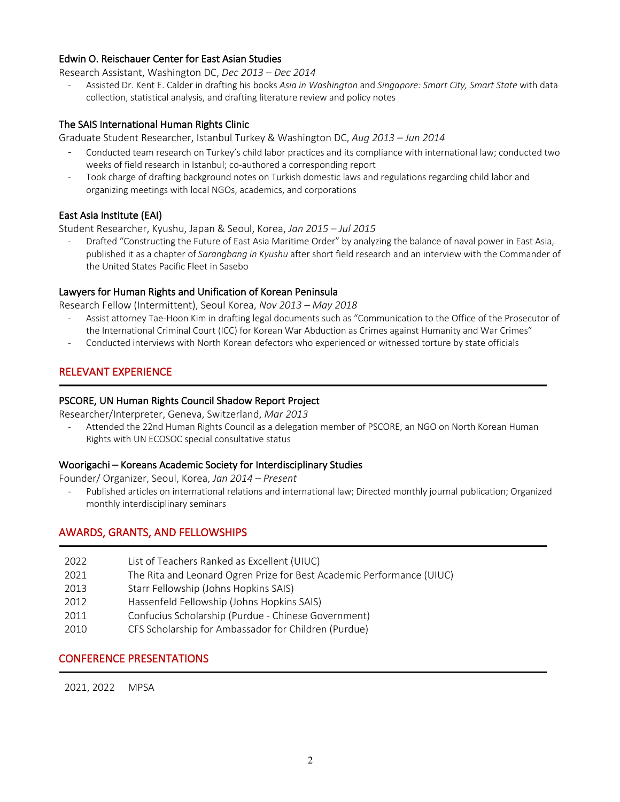## Edwin O. Reischauer Center for East Asian Studies

Research Assistant, Washington DC, *Dec 2013 – Dec 2014*

- Assisted Dr. Kent E. Calder in drafting his books *Asia in Washington* and *Singapore: Smart City, Smart State* with data collection, statistical analysis, and drafting literature review and policy notes

## The SAIS International Human Rights Clinic

Graduate Student Researcher, Istanbul Turkey & Washington DC, *Aug 2013 – Jun 2014*

- Conducted team research on Turkey's child labor practices and its compliance with international law; conducted two weeks of field research in Istanbul; co-authored a corresponding report
- Took charge of drafting background notes on Turkish domestic laws and regulations regarding child labor and organizing meetings with local NGOs, academics, and corporations

## East Asia Institute (EAI)

Student Researcher, Kyushu, Japan & Seoul, Korea, *Jan 2015 – Jul 2015*

- Drafted "Constructing the Future of East Asia Maritime Order" by analyzing the balance of naval power in East Asia, published it as a chapter of *Sarangbang in Kyushu* after short field research and an interview with the Commander of the United States Pacific Fleet in Sasebo

## Lawyers for Human Rights and Unification of Korean Peninsula

Research Fellow (Intermittent), Seoul Korea, *Nov 2013 – May 2018*

- Assist attorney Tae-Hoon Kim in drafting legal documents such as "Communication to the Office of the Prosecutor of the International Criminal Court (ICC) for Korean War Abduction as Crimes against Humanity and War Crimes"
- Conducted interviews with North Korean defectors who experienced or witnessed torture by state officials

# RELEVANT EXPERIENCE

j

1

1

## PSCORE, UN Human Rights Council Shadow Report Project

Researcher/Interpreter, Geneva, Switzerland, *Mar 2013*

Attended the 22nd Human Rights Council as a delegation member of PSCORE, an NGO on North Korean Human Rights with UN ECOSOC special consultative status

## Woorigachi – Koreans Academic Society for Interdisciplinary Studies

Founder/ Organizer, Seoul, Korea, *Jan 2014 – Present* 

Published articles on international relations and international law; Directed monthly journal publication; Organized monthly interdisciplinary seminars

## AWARDS, GRANTS, AND FELLOWSHIPS

- 2022 List of Teachers Ranked as Excellent (UIUC)
- 2021 The Rita and Leonard Ogren Prize for Best Academic Performance (UIUC)
- 2013 Starr Fellowship (Johns Hopkins SAIS)
- 2012 Hassenfeld Fellowship (Johns Hopkins SAIS)
- 2011 Confucius Scholarship (Purdue Chinese Government)
- 2010 CFS Scholarship for Ambassador for Children (Purdue)

## CONFERENCE PRESENTATIONS

2021, 2022 MPSA